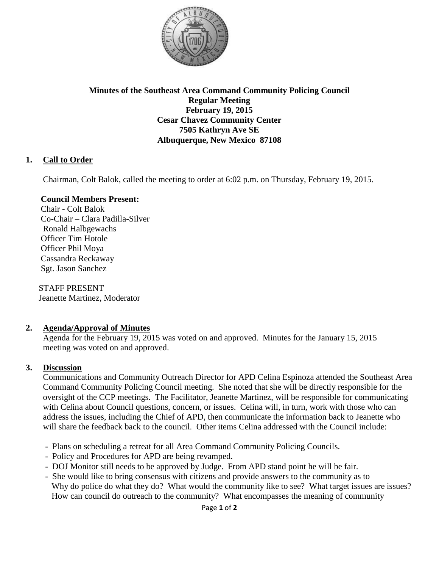

### **Minutes of the Southeast Area Command Community Policing Council Regular Meeting February 19, 2015 Cesar Chavez Community Center 7505 Kathryn Ave SE Albuquerque, New Mexico 87108**

# **1. Call to Order**

Chairman, Colt Balok, called the meeting to order at 6:02 p.m. on Thursday, February 19, 2015.

### **Council Members Present:**

Chair **-** Colt Balok Co-Chair – Clara Padilla-Silver Ronald Halbgewachs Officer Tim Hotole Officer Phil Moya Cassandra Reckaway Sgt. Jason Sanchez

 STAFF PRESENT Jeanette Martinez, Moderator

## **2. Agenda/Approval of Minutes**

Agenda for the February 19, 2015 was voted on and approved. Minutes for the January 15, 2015 meeting was voted on and approved.

### **3. Discussion**

 Communications and Community Outreach Director for APD Celina Espinoza attended the Southeast Area Command Community Policing Council meeting. She noted that she will be directly responsible for the oversight of the CCP meetings. The Facilitator, Jeanette Martinez, will be responsible for communicating with Celina about Council questions, concern, or issues. Celina will, in turn, work with those who can address the issues, including the Chief of APD, then communicate the information back to Jeanette who will share the feedback back to the council. Other items Celina addressed with the Council include:

- Plans on scheduling a retreat for all Area Command Community Policing Councils.
- Policy and Procedures for APD are being revamped.
- DOJ Monitor still needs to be approved by Judge. From APD stand point he will be fair.
- She would like to bring consensus with citizens and provide answers to the community as to Why do police do what they do? What would the community like to see? What target issues are issues? How can council do outreach to the community? What encompasses the meaning of community